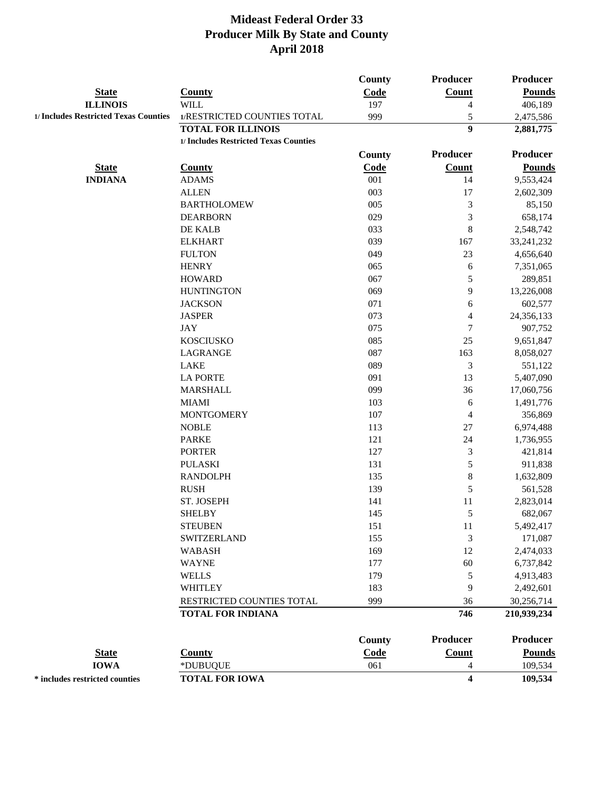|                                       |                                       | County        | <b>Producer</b>         | <b>Producer</b> |
|---------------------------------------|---------------------------------------|---------------|-------------------------|-----------------|
| <b>State</b>                          | <b>County</b>                         | Code          | Count                   | <b>Pounds</b>   |
| <b>ILLINOIS</b>                       | <b>WILL</b>                           | 197           | 4                       | 406,189         |
| 1/ Includes Restricted Texas Counties | 1/RESTRICTED COUNTIES TOTAL           | 999           | 5                       | 2,475,586       |
|                                       | <b>TOTAL FOR ILLINOIS</b>             |               | 9                       | 2,881,775       |
|                                       | 1/ Includes Restricted Texas Counties |               |                         |                 |
|                                       |                                       | <b>County</b> | <b>Producer</b>         | <b>Producer</b> |
| <b>State</b>                          | <b>County</b>                         | Code          | <b>Count</b>            | <b>Pounds</b>   |
| <b>INDIANA</b>                        | <b>ADAMS</b>                          | 001           | 14                      | 9,553,424       |
|                                       | <b>ALLEN</b>                          | 003           | 17                      | 2,602,309       |
|                                       | <b>BARTHOLOMEW</b>                    | 005           | 3                       | 85,150          |
|                                       | <b>DEARBORN</b>                       | 029           | 3                       | 658,174         |
|                                       | DE KALB                               | 033           | 8                       | 2,548,742       |
|                                       | <b>ELKHART</b>                        | 039           | 167                     | 33, 241, 232    |
|                                       | <b>FULTON</b>                         | 049           | 23                      | 4,656,640       |
|                                       | <b>HENRY</b>                          | 065           | 6                       | 7,351,065       |
|                                       | <b>HOWARD</b>                         | 067           | 5                       | 289,851         |
|                                       | <b>HUNTINGTON</b>                     | 069           | 9                       | 13,226,008      |
|                                       | <b>JACKSON</b>                        | 071           | 6                       | 602,577         |
|                                       | <b>JASPER</b>                         | 073           | $\overline{\mathbf{4}}$ | 24,356,133      |
|                                       | <b>JAY</b>                            | 075           | 7                       | 907,752         |
|                                       | <b>KOSCIUSKO</b>                      | 085           | 25                      | 9,651,847       |
|                                       | LAGRANGE                              | 087           | 163                     | 8,058,027       |
|                                       | <b>LAKE</b>                           | 089           | 3                       | 551,122         |
|                                       | <b>LA PORTE</b>                       | 091           | 13                      | 5,407,090       |
|                                       | <b>MARSHALL</b>                       | 099           | 36                      | 17,060,756      |
|                                       | <b>MIAMI</b>                          | 103           | 6                       | 1,491,776       |
|                                       | <b>MONTGOMERY</b>                     | 107           | 4                       | 356,869         |
|                                       | <b>NOBLE</b>                          | 113           | $27\,$                  | 6,974,488       |
|                                       | <b>PARKE</b>                          | 121           | 24                      | 1,736,955       |
|                                       | <b>PORTER</b>                         | 127           | 3                       | 421,814         |
|                                       | <b>PULASKI</b>                        | 131           | 5                       | 911,838         |
|                                       | <b>RANDOLPH</b>                       | 135           | $\,$ 8 $\,$             | 1,632,809       |
|                                       | <b>RUSH</b>                           | 139           | 5                       | 561,528         |
|                                       | ST. JOSEPH                            | 141           | $11\,$                  | 2,823,014       |
|                                       | <b>SHELBY</b>                         | 145           | 5                       | 682,067         |
|                                       | <b>STEUBEN</b>                        | 151           | $11\,$                  | 5,492,417       |
|                                       | <b>SWITZERLAND</b>                    | 155           | 3                       | 171,087         |
|                                       | <b>WABASH</b>                         | 169           | 12                      | 2,474,033       |
|                                       | <b>WAYNE</b>                          | 177           | 60                      | 6,737,842       |
|                                       | <b>WELLS</b>                          | 179           | 5                       | 4,913,483       |
|                                       | <b>WHITLEY</b>                        | 183           | 9                       | 2,492,601       |
|                                       | RESTRICTED COUNTIES TOTAL             | 999           | 36                      | 30,256,714      |
|                                       | <b>TOTAL FOR INDIANA</b>              |               | 746                     | 210,939,234     |
|                                       |                                       | <b>County</b> | <b>Producer</b>         | <b>Producer</b> |
| <b>State</b>                          | <b>County</b>                         | Code          | Count                   | <b>Pounds</b>   |
| <b>IOWA</b>                           | *DUBUQUE                              | 061           | 4                       | 109,534         |
| * includes restricted counties        | <b>TOTAL FOR IOWA</b>                 |               | 4                       | 109,534         |
|                                       |                                       |               |                         |                 |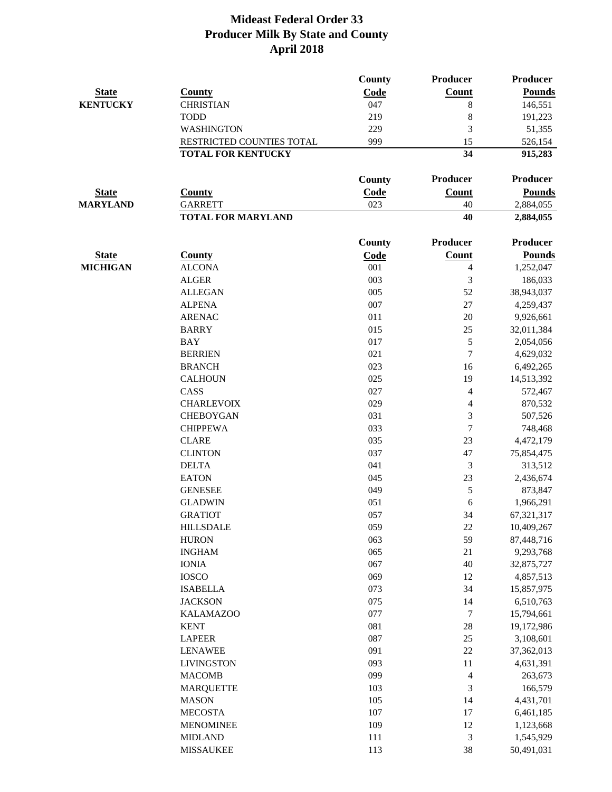|                                 |                           | County | Producer                    | <b>Producer</b> |
|---------------------------------|---------------------------|--------|-----------------------------|-----------------|
|                                 | <b>County</b>             | Code   | <b>Count</b>                | <b>Pounds</b>   |
| <b>KENTUCKY</b>                 | <b>CHRISTIAN</b>          | 047    | 8                           | 146,551         |
|                                 | <b>TODD</b>               | 219    | $\,8\,$                     | 191,223         |
|                                 | <b>WASHINGTON</b>         | 229    | 3                           | 51,355          |
|                                 | RESTRICTED COUNTIES TOTAL | 999    | 15                          | 526,154         |
|                                 | <b>TOTAL FOR KENTUCKY</b> |        | 34                          | 915,283         |
|                                 |                           | County | Producer                    | <b>Producer</b> |
| <b>State</b>                    | <b>County</b>             | Code   | Count                       | <b>Pounds</b>   |
| <b>MARYLAND</b>                 | <b>GARRETT</b>            | 023    | 40                          | 2,884,055       |
|                                 | <b>TOTAL FOR MARYLAND</b> |        | 40                          | 2,884,055       |
|                                 |                           | County | <b>Producer</b>             | <b>Producer</b> |
| <b>State</b>                    | <b>County</b>             | Code   | <b>Count</b>                | <b>Pounds</b>   |
| <b>State</b><br><b>MICHIGAN</b> | <b>ALCONA</b>             | 001    | 4                           | 1,252,047       |
|                                 | <b>ALGER</b>              | 003    | 3                           | 186,033         |
|                                 | <b>ALLEGAN</b>            | 005    | 52                          | 38,943,037      |
|                                 | <b>ALPENA</b>             | 007    | 27                          | 4,259,437       |
|                                 | <b>ARENAC</b>             | 011    | 20                          | 9,926,661       |
|                                 | <b>BARRY</b>              | 015    | 25                          | 32,011,384      |
|                                 | <b>BAY</b>                | 017    | 5                           | 2,054,056       |
|                                 | <b>BERRIEN</b>            | 021    | $\tau$                      | 4,629,032       |
|                                 | <b>BRANCH</b>             | 023    | 16                          | 6,492,265       |
|                                 | <b>CALHOUN</b>            | 025    | 19                          | 14,513,392      |
|                                 | CASS                      | 027    | $\overline{4}$              | 572,467         |
|                                 | <b>CHARLEVOIX</b>         | 029    | $\overline{4}$              | 870,532         |
|                                 | <b>CHEBOYGAN</b>          | 031    | 3                           | 507,526         |
|                                 | <b>CHIPPEWA</b>           | 033    | $\tau$                      | 748,468         |
|                                 | <b>CLARE</b>              | 035    | 23                          | 4,472,179       |
|                                 | <b>CLINTON</b>            | 037    | 47                          | 75,854,475      |
|                                 | <b>DELTA</b>              | 041    | $\mathfrak{Z}$              | 313,512         |
|                                 | <b>EATON</b>              | 045    | 23                          | 2,436,674       |
|                                 | <b>GENESEE</b>            | 049    | $\mathfrak s$               | 873,847         |
|                                 | <b>GLADWIN</b>            | 051    | 6                           | 1,966,291       |
|                                 | <b>GRATIOT</b>            | 057    | 34                          | 67,321,317      |
|                                 | <b>HILLSDALE</b>          | 059    | $22\,$                      | 10,409,267      |
|                                 | <b>HURON</b>              | 063    | 59                          | 87,448,716      |
|                                 | <b>INGHAM</b>             | 065    | 21                          | 9,293,768       |
|                                 | <b>IONIA</b>              | 067    | 40                          | 32,875,727      |
|                                 | <b>IOSCO</b>              | 069    | 12                          | 4,857,513       |
|                                 | <b>ISABELLA</b>           | 073    | 34                          | 15,857,975      |
|                                 | <b>JACKSON</b>            | 075    | 14                          | 6,510,763       |
|                                 | <b>KALAMAZOO</b>          | 077    | $\boldsymbol{7}$            | 15,794,661      |
|                                 | <b>KENT</b>               | 081    | 28                          | 19,172,986      |
|                                 | <b>LAPEER</b>             | 087    | $25\,$                      | 3,108,601       |
|                                 | <b>LENAWEE</b>            | 091    | $22\,$                      | 37,362,013      |
|                                 | <b>LIVINGSTON</b>         | 093    | 11                          | 4,631,391       |
|                                 | <b>MACOMB</b>             | 099    | $\overline{4}$              | 263,673         |
|                                 | <b>MARQUETTE</b>          | 103    | 3                           | 166,579         |
|                                 | <b>MASON</b>              | 105    | 14                          | 4,431,701       |
|                                 | <b>MECOSTA</b>            | 107    | 17                          | 6,461,185       |
|                                 | <b>MENOMINEE</b>          | 109    | 12                          | 1,123,668       |
|                                 | <b>MIDLAND</b>            | 111    | $\ensuremath{\mathfrak{Z}}$ | 1,545,929       |
|                                 | <b>MISSAUKEE</b>          | 113    | 38                          | 50,491,031      |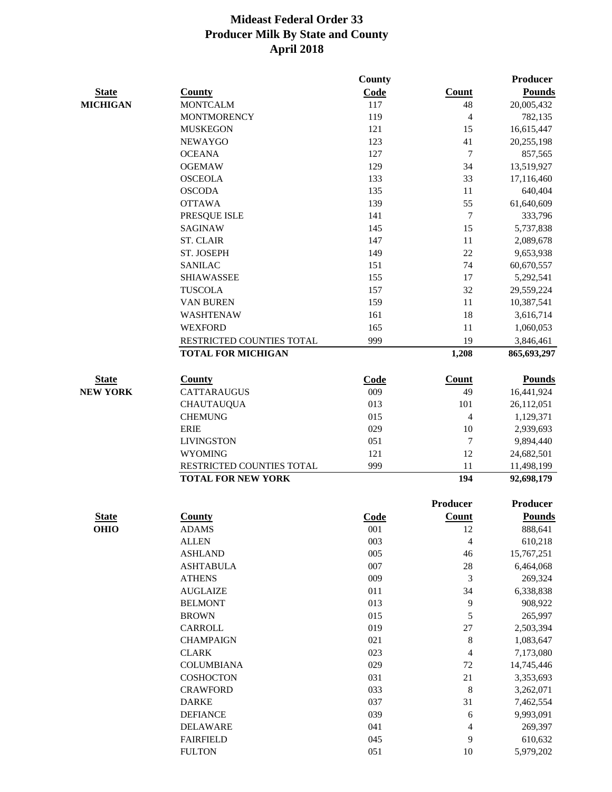|                             |                                     | <b>County</b> |                          | <b>Producer</b>         |
|-----------------------------|-------------------------------------|---------------|--------------------------|-------------------------|
| <b>State</b>                | <b>County</b>                       | Code          | <b>Count</b>             | <b>Pounds</b>           |
| <b>MICHIGAN</b>             | <b>MONTCALM</b>                     | 117           | 48                       | 20,005,432              |
|                             | <b>MONTMORENCY</b>                  | 119           | 4                        | 782,135                 |
|                             | <b>MUSKEGON</b>                     | 121           | 15                       | 16,615,447              |
|                             | <b>NEWAYGO</b>                      | 123           | 41                       | 20,255,198              |
|                             | <b>OCEANA</b>                       | 127           | $\boldsymbol{7}$         | 857,565                 |
|                             | <b>OGEMAW</b>                       | 129           | 34                       | 13,519,927              |
|                             | <b>OSCEOLA</b>                      | 133           | 33                       | 17,116,460              |
|                             | <b>OSCODA</b>                       | 135           | 11                       | 640,404                 |
|                             | <b>OTTAWA</b>                       | 139           | 55                       | 61,640,609              |
|                             | PRESQUE ISLE                        | 141           | 7                        | 333,796                 |
|                             | <b>SAGINAW</b>                      | 145           | 15                       | 5,737,838               |
|                             | <b>ST. CLAIR</b>                    | 147           | 11                       | 2,089,678               |
|                             | ST. JOSEPH                          | 149           | 22                       | 9,653,938               |
|                             | <b>SANILAC</b>                      | 151           | 74                       | 60,670,557              |
|                             | <b>SHIAWASSEE</b>                   | 155           | 17                       | 5,292,541               |
|                             | <b>TUSCOLA</b>                      | 157           | 32                       | 29,559,224              |
|                             | VAN BUREN                           | 159           | 11                       | 10,387,541              |
|                             | WASHTENAW                           | 161           | 18                       | 3,616,714               |
|                             | <b>WEXFORD</b>                      | 165           | 11                       | 1,060,053               |
|                             | RESTRICTED COUNTIES TOTAL           | 999           | 19                       | 3,846,461               |
|                             | <b>TOTAL FOR MICHIGAN</b>           |               | 1,208                    | 865,693,297             |
| <b>State</b>                | <b>County</b>                       | <b>Code</b>   | <b>Count</b>             | <b>Pounds</b>           |
| <b>NEW YORK</b>             | <b>CATTARAUGUS</b>                  | 009           | 49                       | 16,441,924              |
|                             | <b>CHAUTAUQUA</b>                   | 013           | 101                      | 26,112,051              |
|                             | <b>CHEMUNG</b>                      | 015           | 4                        | 1,129,371               |
|                             | <b>ERIE</b>                         | 029           | 10                       | 2,939,693               |
|                             | <b>LIVINGSTON</b>                   | 051           | 7                        | 9,894,440               |
|                             | <b>WYOMING</b>                      | 121           | 12                       | 24,682,501              |
|                             | RESTRICTED COUNTIES TOTAL           | 999           | 11                       | 11,498,199              |
|                             | <b>TOTAL FOR NEW YORK</b>           |               | 194                      | 92,698,179              |
|                             |                                     |               | <b>Producer</b>          | <b>Producer</b>         |
|                             |                                     |               | Count                    | <b>Pounds</b>           |
|                             | County                              | Code<br>001   | 12                       |                         |
|                             | <b>ADAMS</b><br><b>ALLEN</b>        | 003           | $\overline{\mathcal{L}}$ | 888,641                 |
| <b>State</b><br><b>OHIO</b> | <b>ASHLAND</b>                      | 005           | 46                       | 610,218                 |
|                             | <b>ASHTABULA</b>                    | 007           | 28                       | 15,767,251<br>6,464,068 |
|                             | <b>ATHENS</b>                       | 009           | 3                        | 269,324                 |
|                             | <b>AUGLAIZE</b>                     | 011           | 34                       | 6,338,838               |
|                             | <b>BELMONT</b>                      | 013           | 9                        | 908,922                 |
|                             | <b>BROWN</b>                        | 015           | 5                        | 265,997                 |
|                             | CARROLL                             | 019           | 27                       | 2,503,394               |
|                             | <b>CHAMPAIGN</b>                    | 021           | 8                        | 1,083,647               |
|                             | <b>CLARK</b>                        | 023           | 4                        | 7,173,080               |
|                             | <b>COLUMBIANA</b>                   | 029           |                          |                         |
|                             | <b>COSHOCTON</b>                    | 031           | 72                       | 14,745,446              |
|                             | <b>CRAWFORD</b>                     | 033           | 21                       | 3,353,693               |
|                             |                                     | 037           | 8<br>31                  | 3,262,071               |
|                             | <b>DARKE</b>                        |               |                          | 7,462,554               |
|                             | <b>DEFIANCE</b>                     | 039           | 6                        | 9,993,091               |
|                             | <b>DELAWARE</b><br><b>FAIRFIELD</b> | 041<br>045    | 4<br>9                   | 269,397                 |
|                             | <b>FULTON</b>                       | 051           | $10\,$                   | 610,632<br>5,979,202    |
|                             |                                     |               |                          |                         |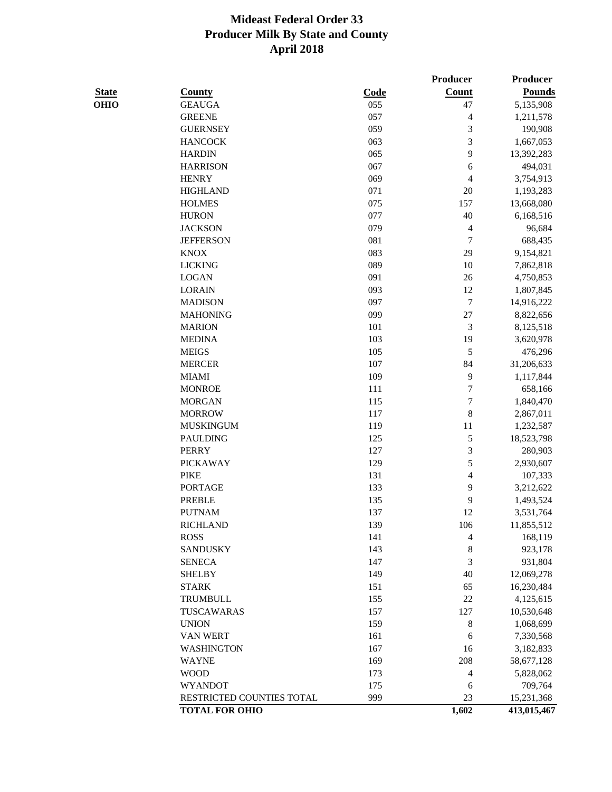|              |                           |            | Producer                 | Producer      |
|--------------|---------------------------|------------|--------------------------|---------------|
| <b>State</b> | <b>County</b>             | Code       | Count                    | <b>Pounds</b> |
| <b>OHIO</b>  | <b>GEAUGA</b>             | 055        | 47                       | 5,135,908     |
|              | <b>GREENE</b>             | 057        | $\overline{\mathcal{L}}$ | 1,211,578     |
|              | <b>GUERNSEY</b>           | 059        | 3                        | 190,908       |
|              | <b>HANCOCK</b>            | 063        | 3                        | 1,667,053     |
|              | <b>HARDIN</b>             | 065        | 9                        | 13,392,283    |
|              | <b>HARRISON</b>           | 067        | 6                        | 494,031       |
|              | <b>HENRY</b>              | 069        | $\overline{\mathcal{L}}$ | 3,754,913     |
|              | <b>HIGHLAND</b>           | 071        | 20                       | 1,193,283     |
|              | <b>HOLMES</b>             | 075        | 157                      | 13,668,080    |
|              | <b>HURON</b>              | 077        | 40                       | 6,168,516     |
|              | <b>JACKSON</b>            | 079        | 4                        | 96,684        |
|              | <b>JEFFERSON</b>          | 081        | $\overline{7}$           | 688,435       |
|              | <b>KNOX</b>               | 083        | 29                       | 9,154,821     |
|              | <b>LICKING</b>            | 089        | 10                       | 7,862,818     |
|              | <b>LOGAN</b>              | 091        | 26                       | 4,750,853     |
|              | <b>LORAIN</b>             | 093        | 12                       | 1,807,845     |
|              | <b>MADISON</b>            | 097        | 7                        | 14,916,222    |
|              | <b>MAHONING</b>           | 099        | 27                       | 8,822,656     |
|              | <b>MARION</b>             | 101        | 3                        | 8,125,518     |
|              | <b>MEDINA</b>             | 103        | 19                       | 3,620,978     |
|              | <b>MEIGS</b>              | 105        |                          | 476,296       |
|              |                           |            | 5                        |               |
|              | <b>MERCER</b>             | 107<br>109 | 84                       | 31,206,633    |
|              | <b>MIAMI</b>              |            | 9                        | 1,117,844     |
|              | <b>MONROE</b>             | 111        | $\overline{7}$           | 658,166       |
|              | <b>MORGAN</b>             | 115        | $\sqrt{ }$               | 1,840,470     |
|              | <b>MORROW</b>             | 117        | 8                        | 2,867,011     |
|              | <b>MUSKINGUM</b>          | 119        | 11                       | 1,232,587     |
|              | <b>PAULDING</b>           | 125        | 5                        | 18,523,798    |
|              | <b>PERRY</b>              | 127        | 3                        | 280,903       |
|              | <b>PICKAWAY</b>           | 129        | 5                        | 2,930,607     |
|              | <b>PIKE</b>               | 131        | 4                        | 107,333       |
|              | <b>PORTAGE</b>            | 133        | 9                        | 3,212,622     |
|              | <b>PREBLE</b>             | 135        | 9                        | 1,493,524     |
|              | <b>PUTNAM</b>             | 137        | 12                       | 3,531,764     |
|              | <b>RICHLAND</b>           | 139        | 106                      | 11,855,512    |
|              | <b>ROSS</b>               | 141        | 4                        | 168,119       |
|              | <b>SANDUSKY</b>           | 143        | 8                        | 923,178       |
|              | <b>SENECA</b>             | 147        | 3                        | 931,804       |
|              | <b>SHELBY</b>             | 149        | 40                       | 12,069,278    |
|              | <b>STARK</b>              | 151        | 65                       | 16,230,484    |
|              | <b>TRUMBULL</b>           | 155        | 22                       | 4,125,615     |
|              | TUSCAWARAS                | 157        | 127                      | 10,530,648    |
|              | <b>UNION</b>              | 159        | 8                        | 1,068,699     |
|              | VAN WERT                  | 161        | 6                        | 7,330,568     |
|              | <b>WASHINGTON</b>         | 167        | 16                       | 3,182,833     |
|              | WAYNE                     | 169        | 208                      | 58,677,128    |
|              | <b>WOOD</b>               | 173        | 4                        | 5,828,062     |
|              | <b>WYANDOT</b>            | 175        | 6                        | 709,764       |
|              | RESTRICTED COUNTIES TOTAL | 999        | 23                       | 15,231,368    |
|              | <b>TOTAL FOR OHIO</b>     |            | 1,602                    | 413,015,467   |